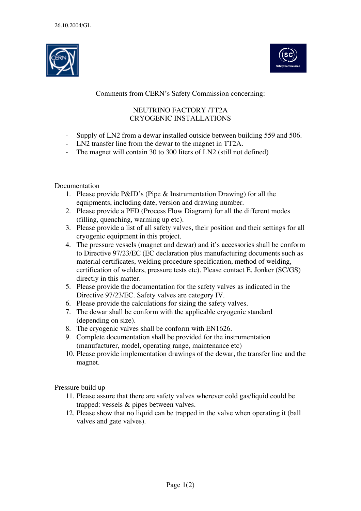



## Comments from CERN's Safety Commission concerning:

# NEUTRINO FACTORY /TT2A CRYOGENIC INSTALLATIONS

- Supply of LN2 from a dewar installed outside between building 559 and 506.
- LN2 transfer line from the dewar to the magnet in TT2A.
- The magnet will contain 30 to 300 liters of LN2 (still not defined)

### Documentation

- 1. Please provide P&ID's (Pipe & Instrumentation Drawing) for all the equipments, including date, version and drawing number.
- 2. Please provide a PFD (Process Flow Diagram) for all the different modes (filling, quenching, warming up etc).
- 3. Please provide a list of all safety valves, their position and their settings for all cryogenic equipment in this project.
- 4. The pressure vessels (magnet and dewar) and it's accessories shall be conform to Directive 97/23/EC (EC declaration plus manufacturing documents such as material certificates, welding procedure specification, method of welding, certification of welders, pressure tests etc). Please contact E. Jonker (SC/GS) directly in this matter.
- 5. Please provide the documentation for the safety valves as indicated in the Directive 97/23/EC. Safety valves are category IV.
- 6. Please provide the calculations for sizing the safety valves.
- 7. The dewar shall be conform with the applicable cryogenic standard (depending on size).
- 8. The cryogenic valves shall be conform with EN1626.
- 9. Complete documentation shall be provided for the instrumentation (manufacturer, model, operating range, maintenance etc)
- 10. Please provide implementation drawings of the dewar, the transfer line and the magnet.

Pressure build up

- 11. Please assure that there are safety valves wherever cold gas/liquid could be trapped: vessels & pipes between valves.
- 12. Please show that no liquid can be trapped in the valve when operating it (ball valves and gate valves).